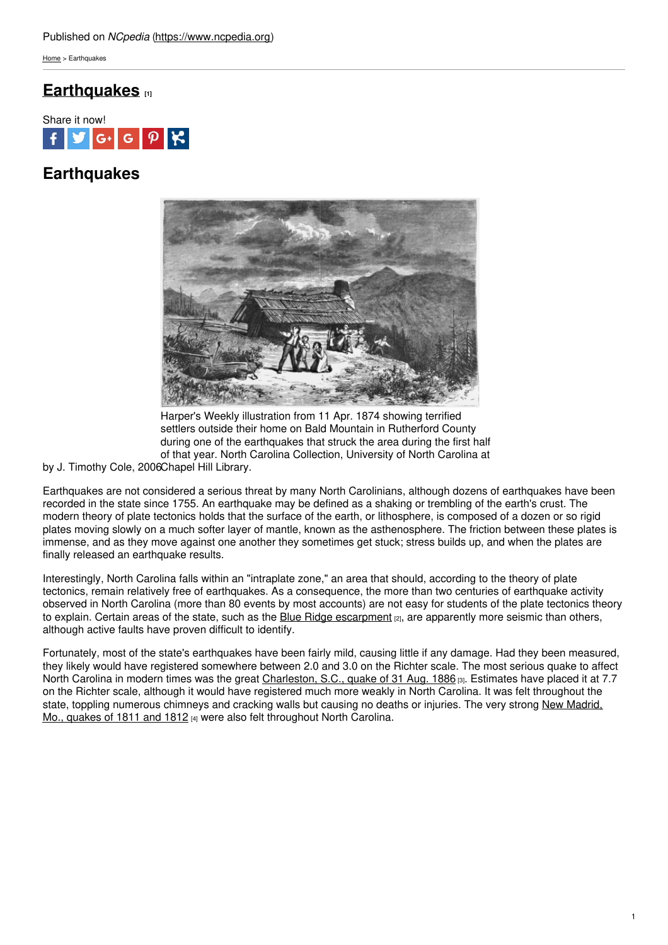[Home](https://www.ncpedia.org/) > Earthquakes

## **[Earthquakes](https://www.ncpedia.org/earthquakes) [1]**



# **Earthquakes**



Harper's Weekly illustration from 11 Apr. 1874 showing terrified settlers outside their home on Bald Mountain in Rutherford County during one of the earthquakes that struck the area during the first half of that year. North Carolina Collection, University of North Carolina at

by J. Timothy Cole, 2006 Chapel Hill Library.

Earthquakes are not considered a serious threat by many North Carolinians, although dozens of earthquakes have been recorded in the state since 1755. An earthquake may be defined as a shaking or trembling of the earth's crust. The modern theory of plate tectonics holds that the surface of the earth, or lithosphere, is composed of a dozen or so rigid plates moving slowly on a much softer layer of mantle, known as the asthenosphere. The friction between these plates is immense, and as they move against one another they sometimes get stuck; stress builds up, and when the plates are finally released an earthquake results.

Interestingly, North Carolina falls within an "intraplate zone," an area that should, according to the theory of plate tectonics, remain relatively free of earthquakes. As a consequence, the more than two centuries of earthquake activity observed in North Carolina (more than 80 events by most accounts) are not easy for students of the plate tectonics theory to explain. Certain areas of the state, such as the Blue Ridge [escarpment](http://www.nature.org/ourinitiatives/regions/northamerica/unitedstates/northcarolina/placesweprotect/southern-blue-ridge-escarpment-1.xml) <sub>[2]</sub>, are apparently more seismic than others, although active faults have proven difficult to identify.

Fortunately, most of the state's earthquakes have been fairly mild, causing little if any damage. Had they been measured, they likely would have registered somewhere between 2.0 and 3.0 on the Richter scale. The most serious quake to affect North Carolina in modern times was the great [Charleston,](http://earthquake.usgs.gov/earthquakes/states/events/1886_09_01.php) S.C., quake of 31 Aug. 1886 [3]. Estimates have placed it at 7.7 on the Richter scale, although it would have registered much more weakly in North Carolina. It was felt throughout the state, toppling [numerous](http://earthquake.usgs.gov/earthquakes/states/events/1811-1812.php) chimneys and cracking walls but causing no deaths or injuries. The very strong New Madrid, Mo., quakes of 1811 and 1812 [4] were also felt throughout North Carolina.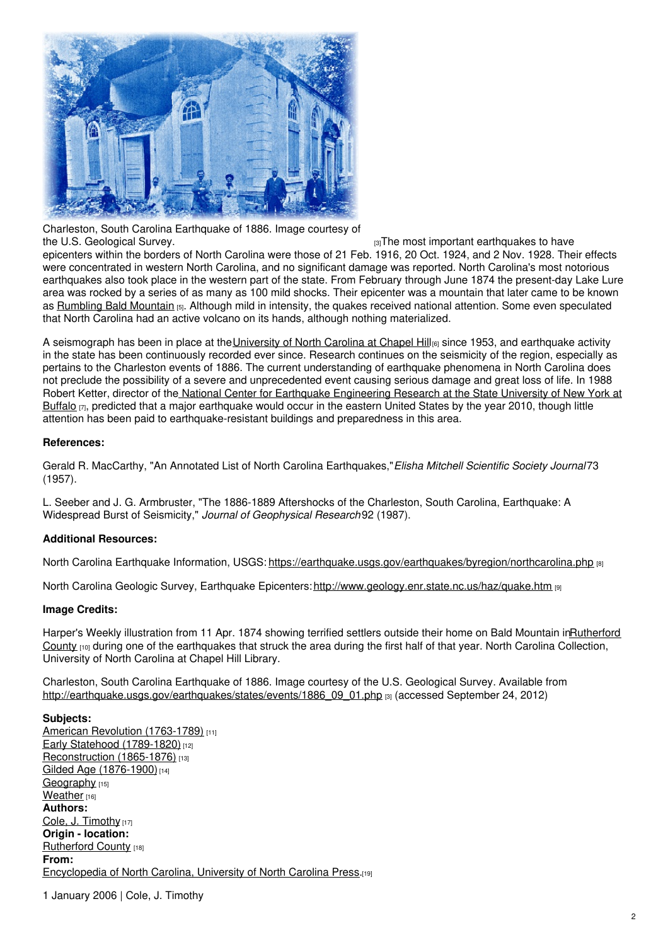

Charleston, South Carolina Earthquake of 1886. Image courtesy of the U.S. [Geological](http://earthquake.usgs.gov/earthquakes/states/events/1886_09_01.php) Survey. The most important earthquakes to have

epicenters within the borders of North Carolina were those of 21 Feb. 1916, 20 Oct. 1924, and 2 Nov. 1928. Their effects were concentrated in western North Carolina, and no significant damage was reported. North Carolina's most notorious earthquakes also took place in the western part of the state. From February through June 1874 the present-day Lake Lure area was rocked by a series of as many as 100 mild shocks. Their epicenter was a mountain that later came to be known as [Rumbling](http://www.nature.org/ourinitiatives/regions/northamerica/unitedstates/northcarolina/placesweprotect/rumbling-bald.xml) Bald Mountain [5]. Although mild in intensity, the quakes received national attention. Some even speculated that North Carolina had an active volcano on its hands, although nothing materialized.

A seismograph has been in place at the [University](https://www.ncpedia.org/university-north-carolina-chapel-hi) of North Carolina at Chapel Hill<sub>[6]</sub> since 1953, and earthquake activity in the state has been continuously recorded ever since. Research continues on the seismicity of the region, especially as pertains to the Charleston events of 1886. The current understanding of earthquake phenomena in North Carolina does not preclude the possibility of a severe and unprecedented event causing serious damage and great loss of life. In 1988 Robert Ketter, director of the National Center for Earthquake [Engineering](http://mceer.buffalo.edu/) Research at the State University of New York at Buffalo  $\pi$ , predicted that a major earthquake would occur in the eastern United States by the year 2010, though little attention has been paid to earthquake-resistant buildings and preparedness in this area.

### **References:**

Gerald R. MacCarthy, "An Annotated List of North Carolina Earthquakes,"*Elisha Mitchell Scientific Society Journal*73 (1957).

L. Seeber and J. G. Armbruster, "The 1886-1889 Aftershocks of the Charleston, South Carolina, Earthquake: A Widespread Burst of Seismicity," *Journal of Geophysical Research*92 (1987).

#### **Additional Resources:**

North Carolina Earthquake Information, USGS: <https://earthquake.usgs.gov/earthquakes/byregion/northcarolina.php> [8]

North Carolina Geologic Survey, Earthquake Epicenters: <http://www.geology.enr.state.nc.us/haz/quake.htm> [9]

#### **Image Credits:**

Harper's Weekly illustration from 11 Apr. 1874 showing terrified settlers outside their home on Bald Mountain [inRutherford](https://www.ncpedia.org/geography/rutherford) County  $100$  during one of the earthquakes that struck the area during the first half of that year. North Carolina Collection, University of North Carolina at Chapel Hill Library.

Charleston, South Carolina Earthquake of 1886. Image courtesy of the U.S. Geological Survey. Available from [http://earthquake.usgs.gov/earthquakes/states/events/1886\\_09\\_01.php](http://earthquake.usgs.gov/earthquakes/states/events/1886_09_01.php) [3] (accessed September 24, 2012)

#### **Subjects:**

American Revolution [\(1763-1789\)](https://www.ncpedia.org/category/subjects/us-revolution) [11] Early Statehood [\(1789-1820\)](https://www.ncpedia.org/category/subjects/early-statehood-1) [12] [Reconstruction](https://www.ncpedia.org/category/subjects/reconstruction) (1865-1876) [13] Gilded Age [\(1876-1900\)](https://www.ncpedia.org/category/subjects/gilded-age-1876-1)<sup>[14]</sup> [Geography](https://www.ncpedia.org/category/subjects/geography) [15] [Weather](https://www.ncpedia.org/category/subjects/weather) [16] **Authors:** Cole, J. [Timothy](https://www.ncpedia.org/category/authors/cole-j-timothy) [17] **Origin - location:** [Rutherford](https://www.ncpedia.org/category/origin-location/mountai-12) County [18] **From:** [Encyclopedia](https://www.ncpedia.org/category/entry-source/encyclopedia-) of North Carolina, University of North Carolina Press.[19]